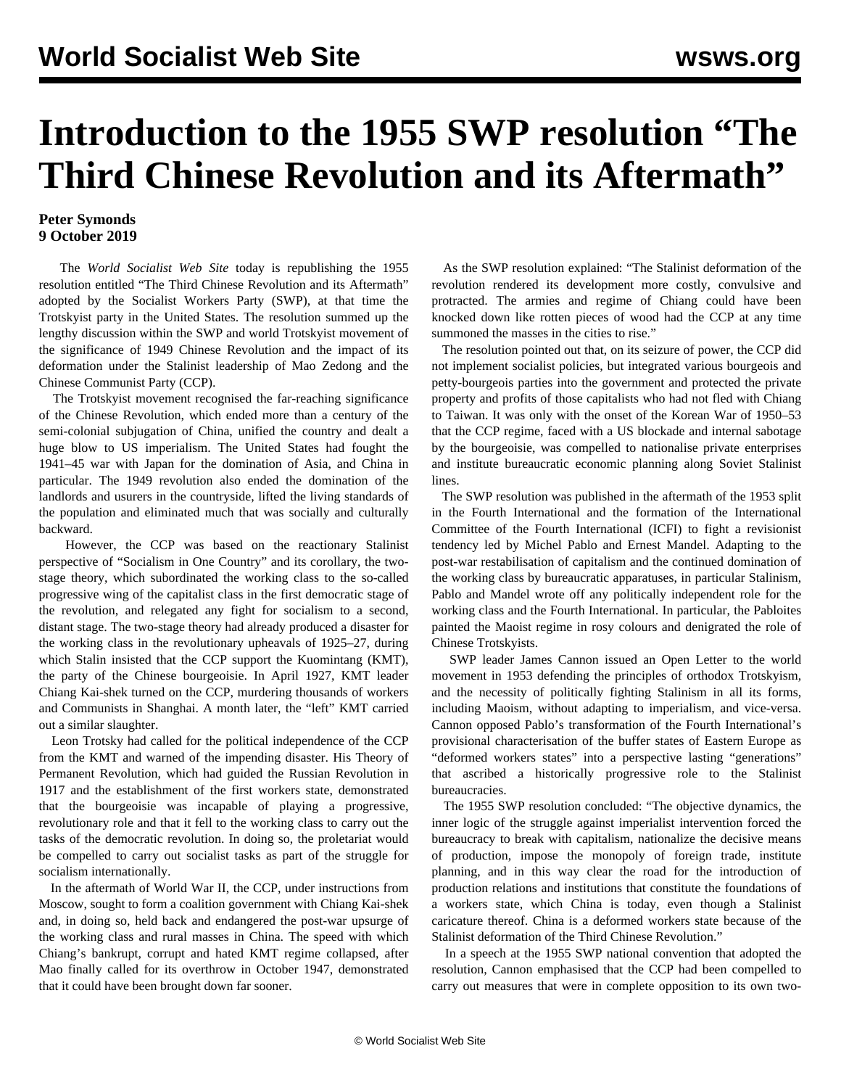## **Introduction to the 1955 SWP resolution "The Third Chinese Revolution and its Aftermath"**

## **Peter Symonds 9 October 2019**

 The *World Socialist Web Site* today is republishing the 1955 resolution entitled "The Third Chinese Revolution and its Aftermath" adopted by the Socialist Workers Party (SWP), at that time the Trotskyist party in the United States. The [resolution](/en/articles/2019/10/09/swpr-o09.html) summed up the lengthy discussion within the SWP and world Trotskyist movement of the significance of 1949 Chinese Revolution and the impact of its deformation under the Stalinist leadership of Mao Zedong and the Chinese Communist Party (CCP).

 The Trotskyist movement recognised the far-reaching significance of the Chinese Revolution, which ended more than a century of the semi-colonial subjugation of China, unified the country and dealt a huge blow to US imperialism. The United States had fought the 1941–45 war with Japan for the domination of Asia, and China in particular. The 1949 revolution also ended the domination of the landlords and usurers in the countryside, lifted the living standards of the population and eliminated much that was socially and culturally backward.

 However, the CCP was based on the reactionary Stalinist perspective of "Socialism in One Country" and its corollary, the twostage theory, which subordinated the working class to the so-called progressive wing of the capitalist class in the first democratic stage of the revolution, and relegated any fight for socialism to a second, distant stage. The two-stage theory had already produced a disaster for the working class in the revolutionary upheavals of 1925–27, during which Stalin insisted that the CCP support the Kuomintang (KMT), the party of the Chinese bourgeoisie. In April 1927, KMT leader Chiang Kai-shek turned on the CCP, murdering thousands of workers and Communists in Shanghai. A month later, the "left" KMT carried out a similar slaughter.

 Leon Trotsky had called for the political independence of the CCP from the KMT and warned of the impending disaster. His Theory of Permanent Revolution, which had guided the Russian Revolution in 1917 and the establishment of the first workers state, demonstrated that the bourgeoisie was incapable of playing a progressive, revolutionary role and that it fell to the working class to carry out the tasks of the democratic revolution. In doing so, the proletariat would be compelled to carry out socialist tasks as part of the struggle for socialism internationally.

 In the aftermath of World War II, the CCP, under instructions from Moscow, sought to form a coalition government with Chiang Kai-shek and, in doing so, held back and endangered the post-war upsurge of the working class and rural masses in China. The speed with which Chiang's bankrupt, corrupt and hated KMT regime collapsed, after Mao finally called for its overthrow in October 1947, demonstrated that it could have been brought down far sooner.

 As the SWP resolution explained: "The Stalinist deformation of the revolution rendered its development more costly, convulsive and protracted. The armies and regime of Chiang could have been knocked down like rotten pieces of wood had the CCP at any time summoned the masses in the cities to rise."

 The resolution pointed out that, on its seizure of power, the CCP did not implement socialist policies, but integrated various bourgeois and petty-bourgeois parties into the government and protected the private property and profits of those capitalists who had not fled with Chiang to Taiwan. It was only with the onset of the Korean War of 1950–53 that the CCP regime, faced with a US blockade and internal sabotage by the bourgeoisie, was compelled to nationalise private enterprises and institute bureaucratic economic planning along Soviet Stalinist lines.

 The SWP resolution was published in the aftermath of the 1953 split in the Fourth International and the formation of the International Committee of the Fourth International (ICFI) to fight a revisionist tendency led by Michel Pablo and Ernest Mandel. Adapting to the post-war restabilisation of capitalism and the continued domination of the working class by bureaucratic apparatuses, in particular Stalinism, Pablo and Mandel wrote off any politically independent role for the working class and the Fourth International. In particular, the Pabloites painted the Maoist regime in rosy colours and denigrated the role of Chinese Trotskyists.

 SWP leader James Cannon issued an Open Letter to the world movement in 1953 defending the principles of orthodox Trotskyism, and the necessity of politically fighting Stalinism in all its forms, including Maoism, without adapting to imperialism, and vice-versa. Cannon opposed Pablo's transformation of the Fourth International's provisional characterisation of the buffer states of Eastern Europe as "deformed workers states" into a perspective lasting "generations" that ascribed a historically progressive role to the Stalinist bureaucracies.

 The 1955 SWP resolution concluded: "The objective dynamics, the inner logic of the struggle against imperialist intervention forced the bureaucracy to break with capitalism, nationalize the decisive means of production, impose the monopoly of foreign trade, institute planning, and in this way clear the road for the introduction of production relations and institutions that constitute the foundations of a workers state, which China is today, even though a Stalinist caricature thereof. China is a deformed workers state because of the Stalinist deformation of the Third Chinese Revolution."

 In a speech at the 1955 SWP national convention that adopted the resolution, Cannon emphasised that the CCP had been compelled to carry out measures that were in complete opposition to its own two